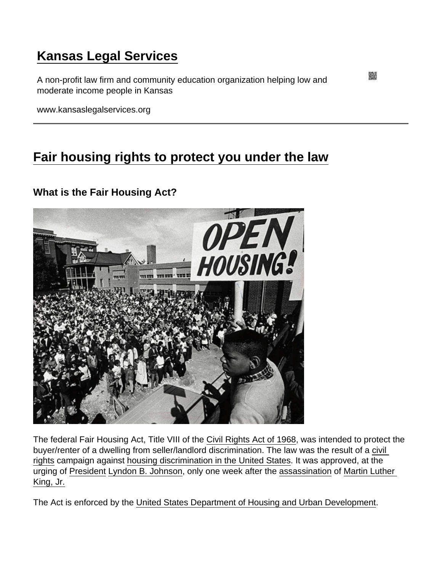# [Kansas Legal Services](https://www.kansaslegalservices.org/)

A non-profit law firm and community education organization helping low and moderate income people in Kansas

www.kansaslegalservices.org

## [Fair housing rights to protect you under the law](https://www.kansaslegalservices.org/node/1925/fair-housing-rights-protect-you-under-law)

What is the Fair Housing Act?

The federal Fair Housing Act, Title VIII of the [Civil Rights Act of 1968](http://en.wikipedia.org/wiki/Civil_Rights_Act_of_1968), was intended to protect the buyer/renter of a dwelling from seller/landlord discrimination. The law was the result of a [civil](http://en.wikipedia.org/wiki/Civil_rights)  [rights](http://en.wikipedia.org/wiki/Civil_rights) campaign against [housing discrimination in the United States.](http://en.wikipedia.org/wiki/Housing_discrimination_in_the_United_States) It was approved, at the urging of [President](http://en.wikipedia.org/wiki/President_of_the_United_States) [Lyndon B. Johnson,](http://en.wikipedia.org/wiki/Lyndon_B._Johnson) only one week after the [assassination](http://en.wikipedia.org/wiki/Assassination) of [Martin Luther](http://en.wikipedia.org/wiki/Martin_Luther_King,_Jr.)  [King, Jr.](http://en.wikipedia.org/wiki/Martin_Luther_King,_Jr.)

The Act is enforced by the [United States Department of Housing and Urban Development.](http://portal.hud.gov/hudportal/HUD)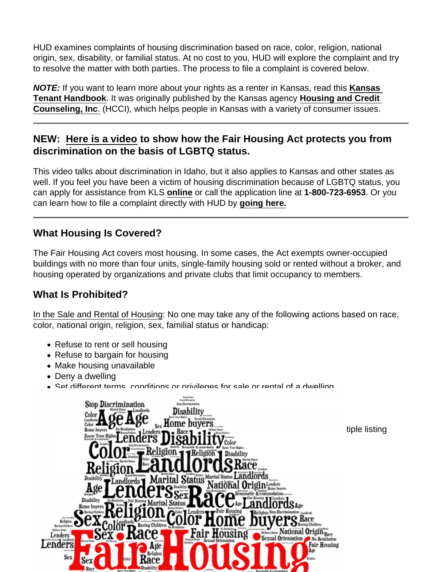HUD examines complaints of housing discrimination based on race, color, religion, national origin, sex, disability, or familial status. At no cost to you, HUD will explore the complaint and try to resolve the matter with both parties. The process to file a complaint is covered below.

NOTE: If you want to learn more about your rights as a renter in Kansas, read this [Kansas](http://www.kansaslegalservices.org/node/2044/kansas-tenant-handbook-and-guide)  [Tenant Handbook](http://www.kansaslegalservices.org/node/2044/kansas-tenant-handbook-and-guide) . It was originally published by the Kansas agency [Housing and Credit](https://housingandcredit.org/)  [Counseling, Inc](https://housingandcredit.org/) [.](https://housingandcredit.org/) (HCCI), which helps people in Kansas with a variety of consumer issues.

NEW: [Here is a video](https://www.youtube.com/watch?v=fd9e2Ri6bFI) to show how the Fair Housing Act protects you from discrimination on the basis of LGBTQ status.

This video talks about discrimination in Idaho, but it also applies to Kansas and other states as well. If you feel you have been a victim of housing discrimination because of LGBTQ status, you can apply for assistance from KLS [online](https://www.kansaslegalservices.org/node/809) or call the application line at 1-800-723-6953. Or you can learn how to file a complaint directly with HUD by [going here.](https://www.hud.gov/program_offices/fair_housing_equal_opp/online-complaint)

#### What Housing Is Covered?

The Fair Housing Act covers most housing. In some cases, the Act exempts owner-occupied buildings with no more than four units, single-family housing sold or rented without a broker, and housing operated by organizations and private clubs that limit occupancy to members.

#### What Is Prohibited?

In the Sale and Rental of Housing: No one may take any of the following actions based on race, color, national origin, religion, sex, familial status or handicap:

- Refuse to rent or sell housing
- Refuse to bargain for housing
- Make housing unavailable
- Deny a dwelling
- Set different terms, conditions or privileges for sale or rental of a dwelling
- Provide different housing services or facilities
- Falsely deny that housing is open for inspection, sale, or rental
- For profit, persuade owners to sell or rent (blockbusting) or
- Deny anyone access to or membership in a facility or service (such as a multiple listing service) related to the sale or rental of housing.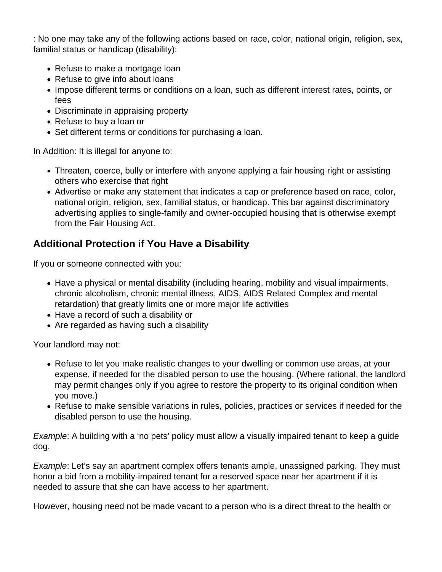: No one may take any of the following actions based on race, color, national origin, religion, sex, familial status or handicap (disability):

- Refuse to make a mortgage loan
- Refuse to give info about loans
- Impose different terms or conditions on a loan, such as different interest rates, points, or fees
- Discriminate in appraising property
- Refuse to buy a loan or
- Set different terms or conditions for purchasing a loan.

In Addition: It is illegal for anyone to:

- Threaten, coerce, bully or interfere with anyone applying a fair housing right or assisting others who exercise that right
- Advertise or make any statement that indicates a cap or preference based on race, color, national origin, religion, sex, familial status, or handicap. This bar against discriminatory advertising applies to single-family and owner-occupied housing that is otherwise exempt from the Fair Housing Act.

## **Additional Protection if You Have a Disability**

If you or someone connected with you:

- Have a physical or mental disability (including hearing, mobility and visual impairments, chronic alcoholism, chronic mental illness, AIDS, AIDS Related Complex and mental retardation) that greatly limits one or more major life activities
- Have a record of such a disability or
- Are regarded as having such a disability

Your landlord may not:

- Refuse to let you make realistic changes to your dwelling or common use areas, at your expense, if needed for the disabled person to use the housing. (Where rational, the landlord may permit changes only if you agree to restore the property to its original condition when you move.)
- Refuse to make sensible variations in rules, policies, practices or services if needed for the disabled person to use the housing.

Example: A building with a 'no pets' policy must allow a visually impaired tenant to keep a guide dog.

Example: Let's say an apartment complex offers tenants ample, unassigned parking. They must honor a bid from a mobility-impaired tenant for a reserved space near her apartment if it is needed to assure that she can have access to her apartment.

However, housing need not be made vacant to a person who is a direct threat to the health or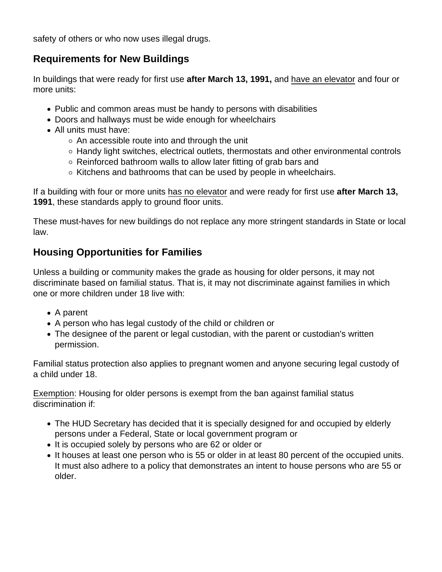safety of others or who now uses illegal drugs.

### **Requirements for New Buildings**

In buildings that were ready for first use **after March 13, 1991,** and have an elevator and four or more units:

- Public and common areas must be handy to persons with disabilities
- Doors and hallways must be wide enough for wheelchairs
- All units must have:
	- $\circ$  An accessible route into and through the unit
	- Handy light switches, electrical outlets, thermostats and other environmental controls
	- $\circ$  Reinforced bathroom walls to allow later fitting of grab bars and
	- $\circ$  Kitchens and bathrooms that can be used by people in wheelchairs.

If a building with four or more units has no elevator and were ready for first use **after March 13, 1991**, these standards apply to ground floor units.

These must-haves for new buildings do not replace any more stringent standards in State or local law.

## **Housing Opportunities for Families**

Unless a building or community makes the grade as housing for older persons, it may not discriminate based on familial status. That is, it may not discriminate against families in which one or more children under 18 live with:

- A parent
- A person who has legal custody of the child or children or
- The designee of the parent or legal custodian, with the parent or custodian's written permission.

Familial status protection also applies to pregnant women and anyone securing legal custody of a child under 18.

Exemption: Housing for older persons is exempt from the ban against familial status discrimination if:

- The HUD Secretary has decided that it is specially designed for and occupied by elderly persons under a Federal, State or local government program or
- It is occupied solely by persons who are 62 or older or
- It houses at least one person who is 55 or older in at least 80 percent of the occupied units. It must also adhere to a policy that demonstrates an intent to house persons who are 55 or older.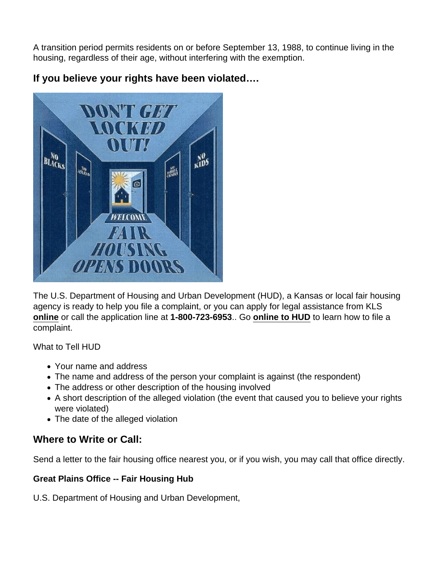A transition period permits residents on or before September 13, 1988, to continue living in the housing, regardless of their age, without interfering with the exemption.

If you believe your rights have been violated….

The U.S. Department of Housing and Urban Development (HUD), a Kansas or local fair housing agency is ready to help you file a complaint, or you can apply for legal assistance from KLS [online](https://www.kansaslegalservices.org/node/809) or call the application line at 1-800-723-6953.. Go [online to HUD](https://www.hud.gov/program_offices/fair_housing_equal_opp/online-complaint) to learn how to file a complaint.

What to Tell HUD

- Your name and address
- The name and address of the person your complaint is against (the respondent)
- The address or other description of the housing involved
- A short description of the alleged violation (the event that caused you to believe your rights were violated)
- The date of the alleged violation

Where to Write or Call:

Send a letter to the fair housing office nearest you, or if you wish, you may call that office directly.

Great Plains Office -- Fair Housing Hub

U.S. Department of Housing and Urban Development,